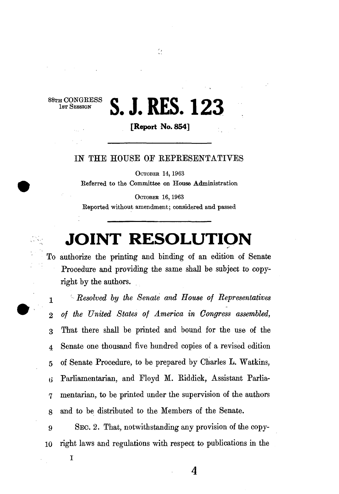## **H** CONGRESS **C I DEC 192**

**[Report No. 854]** 

 $\frac{1}{2}$ 

## IN THE HOUSE OF REPRESENTATIVES

OCTOBER 14,1963 Referred to the Committee on House Administration

OCTOBER 16,1963 Reported without amendment; considered and passed

## **JOINT RESOLUTION**

To authorize the printing and binding of an edition of Senate Procedure and providing the same shall be subject to copyright by the authors.

1 *Resolved by the Senate and House of Representatives*  2 *of the United States of America in Congress assembled,*  3 That there shall be printed and bound for the use of the 4 Senate one thousand five hundred copies of a revised edition 5 of Senate Procedure, to be prepared by Charles L. Watkins, (i Parliamentarian, and Floyd M. Riddick, Assistant Parlia-7 mentarian, to be printed under the supervision of the authors 8 and to be distributed to the Members of the Senate.

9 SEC. 2. That, notwithstanding any provision of the copy-10 right laws and regulations with respect to publications in the

I